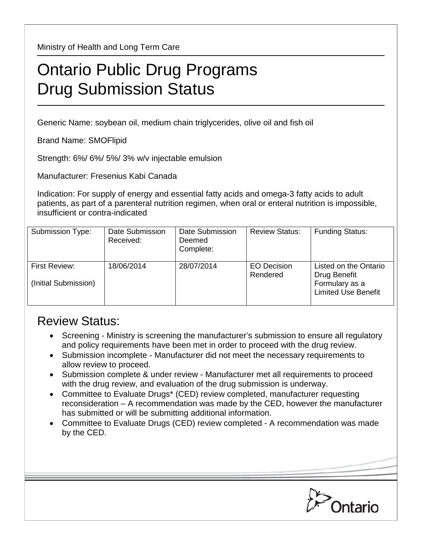Ministry of Health and Long Term Care

## Ontario Public Drug Programs Drug Submission Status

Generic Name: soybean oil, medium chain triglycerides, olive oil and fish oil

Brand Name: SMOFlipid

Strength: 6%/ 6%/ 5%/ 3% w/v injectable emulsion

Manufacturer: Fresenius Kabi Canada

Indication: For supply of energy and essential fatty acids and omega-3 fatty acids to adult patients, as part of a parenteral nutrition regimen, when oral or enteral nutrition is impossible, insufficient or contra-indicated

| Submission Type:                      | Date Submission<br>Received: | Date Submission<br>Deemed<br>Complete: | <b>Review Status:</b>          | <b>Funding Status:</b>                                                                |
|---------------------------------------|------------------------------|----------------------------------------|--------------------------------|---------------------------------------------------------------------------------------|
| First Review:<br>(Initial Submission) | 18/06/2014                   | 28/07/2014                             | <b>EO Decision</b><br>Rendered | Listed on the Ontario<br>Drug Benefit<br>Formulary as a<br><b>Limited Use Benefit</b> |

## Review Status:

- Screening Ministry is screening the manufacturer's submission to ensure all regulatory and policy requirements have been met in order to proceed with the drug review.
- Submission incomplete Manufacturer did not meet the necessary requirements to allow review to proceed.
- Submission complete & under review Manufacturer met all requirements to proceed with the drug review, and evaluation of the drug submission is underway.
- Committee to Evaluate Drugs\* (CED) review completed, manufacturer requesting reconsideration – A recommendation was made by the CED, however the manufacturer has submitted or will be submitting additional information.
- Committee to Evaluate Drugs (CED) review completed A recommendation was made by the CED.